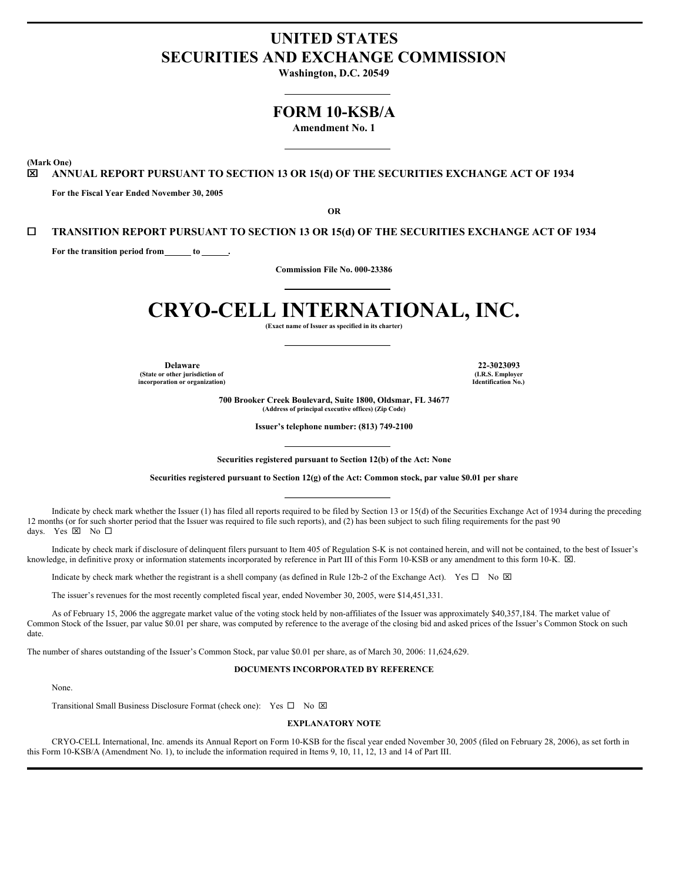# **UNITED STATES SECURITIES AND EXCHANGE COMMISSION**

**Washington, D.C. 20549**

# **FORM 10-KSB/A**

**Amendment No. 1**

**(Mark One)**

x **ANNUAL REPORT PURSUANT TO SECTION 13 OR 15(d) OF THE SECURITIES EXCHANGE ACT OF 1934**

**For the Fiscal Year Ended November 30, 2005**

**OR**

# ¨ **TRANSITION REPORT PURSUANT TO SECTION 13 OR 15(d) OF THE SECURITIES EXCHANGE ACT OF 1934**

**For the transition period from to .**

**Commission File No. 000-23386**

# **CRYO-CELL INTERNATIONAL, INC.**

**(Exact name of Issuer as specified in its charter)**

**Delaware 22-3023093 (State or other jurisdiction of incorporation or organization)**

**(I.R.S. Employer Identification No.)**

**700 Brooker Creek Boulevard, Suite 1800, Oldsmar, FL 34677 (Address of principal executive offices) (Zip Code)**

**Issuer's telephone number: (813) 749-2100**

**Securities registered pursuant to Section 12(b) of the Act: None**

**Securities registered pursuant to Section 12(g) of the Act: Common stock, par value \$0.01 per share**

Indicate by check mark whether the Issuer (1) has filed all reports required to be filed by Section 13 or 15(d) of the Securities Exchange Act of 1934 during the preceding 12 months (or for such shorter period that the Issuer was required to file such reports), and (2) has been subject to such filing requirements for the past 90 days. Yes ⊠ No □

Indicate by check mark if disclosure of delinquent filers pursuant to Item 405 of Regulation S-K is not contained herein, and will not be contained, to the best of Issuer's knowledge, in definitive proxy or information statements incorporated by reference in Part III of this Form 10-KSB or any amendment to this form 10-K.  $\boxtimes$ .

Indicate by check mark whether the registrant is a shell company (as defined in Rule 12b-2 of the Exchange Act). Yes  $\Box$  No  $\boxtimes$ 

The issuer's revenues for the most recently completed fiscal year, ended November 30, 2005, were \$14,451,331.

As of February 15, 2006 the aggregate market value of the voting stock held by non-affiliates of the Issuer was approximately \$40,357,184. The market value of Common Stock of the Issuer, par value \$0.01 per share, was computed by reference to the average of the closing bid and asked prices of the Issuer's Common Stock on such date.

The number of shares outstanding of the Issuer's Common Stock, par value \$0.01 per share, as of March 30, 2006: 11,624,629.

#### **DOCUMENTS INCORPORATED BY REFERENCE**

None.

Transitional Small Business Disclosure Format (check one): Yes  $\square$  No  $\square$ 

# **EXPLANATORY NOTE**

CRYO-CELL International, Inc. amends its Annual Report on Form 10-KSB for the fiscal year ended November 30, 2005 (filed on February 28, 2006), as set forth in this Form 10-KSB/A (Amendment No. 1), to include the information required in Items 9, 10, 11, 12, 13 and 14 of Part III.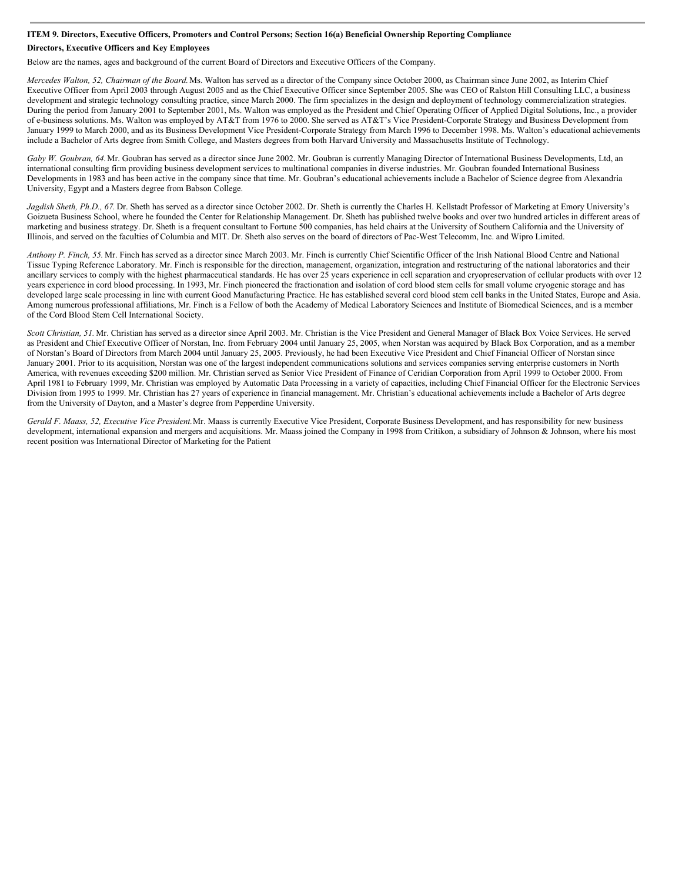## ITEM 9. Directors, Executive Officers, Promoters and Control Persons; Section 16(a) Beneficial Ownership Reporting Compliance

# **Directors, Executive Officers and Key Employees**

Below are the names, ages and background of the current Board of Directors and Executive Officers of the Company.

*Mercedes Walton, 52, Chairman of the Board.*Ms. Walton has served as a director of the Company since October 2000, as Chairman since June 2002, as Interim Chief Executive Officer from April 2003 through August 2005 and as the Chief Executive Officer since September 2005. She was CEO of Ralston Hill Consulting LLC, a business development and strategic technology consulting practice, since March 2000. The firm specializes in the design and deployment of technology commercialization strategies. During the period from January 2001 to September 2001, Ms. Walton was employed as the President and Chief Operating Officer of Applied Digital Solutions, Inc., a provider of e-business solutions. Ms. Walton was employed by AT&T from 1976 to 2000. She served as AT&T's Vice President-Corporate Strategy and Business Development from January 1999 to March 2000, and as its Business Development Vice President-Corporate Strategy from March 1996 to December 1998. Ms. Walton's educational achievements include a Bachelor of Arts degree from Smith College, and Masters degrees from both Harvard University and Massachusetts Institute of Technology.

*Gaby W. Goubran, 64.*Mr. Goubran has served as a director since June 2002. Mr. Goubran is currently Managing Director of International Business Developments, Ltd, an international consulting firm providing business development services to multinational companies in diverse industries. Mr. Goubran founded International Business Developments in 1983 and has been active in the company since that time. Mr. Goubran's educational achievements include a Bachelor of Science degree from Alexandria University, Egypt and a Masters degree from Babson College.

*Jagdish Sheth, Ph.D., 67.* Dr. Sheth has served as a director since October 2002. Dr. Sheth is currently the Charles H. Kellstadt Professor of Marketing at Emory University's Goizueta Business School, where he founded the Center for Relationship Management. Dr. Sheth has published twelve books and over two hundred articles in different areas of marketing and business strategy. Dr. Sheth is a frequent consultant to Fortune 500 companies, has held chairs at the University of Southern California and the University of Illinois, and served on the faculties of Columbia and MIT. Dr. Sheth also serves on the board of directors of Pac-West Telecomm, Inc. and Wipro Limited.

*Anthony P. Finch, 55.* Mr. Finch has served as a director since March 2003. Mr. Finch is currently Chief Scientific Officer of the Irish National Blood Centre and National Tissue Typing Reference Laboratory. Mr. Finch is responsible for the direction, management, organization, integration and restructuring of the national laboratories and their ancillary services to comply with the highest pharmaceutical standards. He has over 25 years experience in cell separation and cryopreservation of cellular products with over 12 years experience in cord blood processing. In 1993, Mr. Finch pioneered the fractionation and isolation of cord blood stem cells for small volume cryogenic storage and has developed large scale processing in line with current Good Manufacturing Practice. He has established several cord blood stem cell banks in the United States, Europe and Asia. Among numerous professional affiliations, Mr. Finch is a Fellow of both the Academy of Medical Laboratory Sciences and Institute of Biomedical Sciences, and is a member of the Cord Blood Stem Cell International Society.

*Scott Christian, 51.* Mr. Christian has served as a director since April 2003. Mr. Christian is the Vice President and General Manager of Black Box Voice Services. He served as President and Chief Executive Officer of Norstan, Inc. from February 2004 until January 25, 2005, when Norstan was acquired by Black Box Corporation, and as a member of Norstan's Board of Directors from March 2004 until January 25, 2005. Previously, he had been Executive Vice President and Chief Financial Officer of Norstan since January 2001. Prior to its acquisition, Norstan was one of the largest independent communications solutions and services companies serving enterprise customers in North America, with revenues exceeding \$200 million. Mr. Christian served as Senior Vice President of Finance of Ceridian Corporation from April 1999 to October 2000. From April 1981 to February 1999, Mr. Christian was employed by Automatic Data Processing in a variety of capacities, including Chief Financial Officer for the Electronic Services Division from 1995 to 1999. Mr. Christian has 27 years of experience in financial management. Mr. Christian's educational achievements include a Bachelor of Arts degree from the University of Dayton, and a Master's degree from Pepperdine University.

*Gerald F. Maass, 52, Executive Vice President.*Mr. Maass is currently Executive Vice President, Corporate Business Development, and has responsibility for new business development, international expansion and mergers and acquisitions. Mr. Maass joined the Company in 1998 from Critikon, a subsidiary of Johnson & Johnson, where his most recent position was International Director of Marketing for the Patient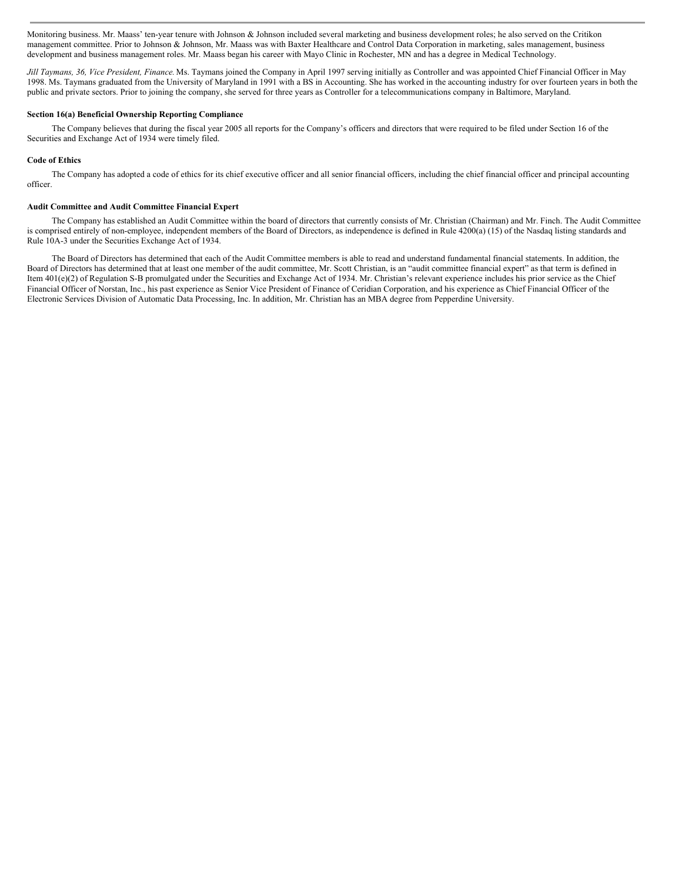Monitoring business. Mr. Maass' ten-year tenure with Johnson & Johnson included several marketing and business development roles; he also served on the Critikon management committee. Prior to Johnson & Johnson, Mr. Maass was with Baxter Healthcare and Control Data Corporation in marketing, sales management, business development and business management roles. Mr. Maass began his career with Mayo Clinic in Rochester, MN and has a degree in Medical Technology.

*Jill Taymans, 36, Vice President, Finance.* Ms. Taymans joined the Company in April 1997 serving initially as Controller and was appointed Chief Financial Officer in May 1998. Ms. Taymans graduated from the University of Maryland in 1991 with a BS in Accounting. She has worked in the accounting industry for over fourteen years in both the public and private sectors. Prior to joining the company, she served for three years as Controller for a telecommunications company in Baltimore, Maryland.

#### **Section 16(a) Beneficial Ownership Reporting Compliance**

The Company believes that during the fiscal year 2005 all reports for the Company's officers and directors that were required to be filed under Section 16 of the Securities and Exchange Act of 1934 were timely filed.

# **Code of Ethics**

The Company has adopted a code of ethics for its chief executive officer and all senior financial officers, including the chief financial officer and principal accounting officer.

# **Audit Committee and Audit Committee Financial Expert**

The Company has established an Audit Committee within the board of directors that currently consists of Mr. Christian (Chairman) and Mr. Finch. The Audit Committee is comprised entirely of non-employee, independent members of the Board of Directors, as independence is defined in Rule 4200(a) (15) of the Nasdaq listing standards and Rule 10A-3 under the Securities Exchange Act of 1934.

The Board of Directors has determined that each of the Audit Committee members is able to read and understand fundamental financial statements. In addition, the Board of Directors has determined that at least one member of the audit committee, Mr. Scott Christian, is an "audit committee financial expert" as that term is defined in Item 401(e)(2) of Regulation S-B promulgated under the Securities and Exchange Act of 1934. Mr. Christian's relevant experience includes his prior service as the Chief Financial Officer of Norstan, Inc., his past experience as Senior Vice President of Finance of Ceridian Corporation, and his experience as Chief Financial Officer of the Electronic Services Division of Automatic Data Processing, Inc. In addition, Mr. Christian has an MBA degree from Pepperdine University.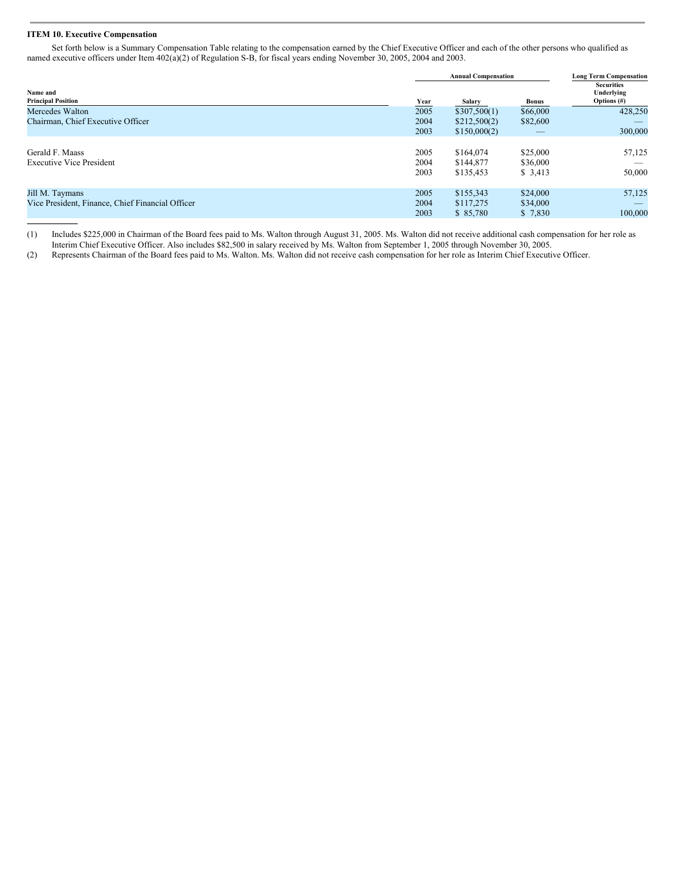# **ITEM 10. Executive Compensation**

Set forth below is a Summary Compensation Table relating to the compensation earned by the Chief Executive Officer and each of the other persons who qualified as named executive officers under Item 402(a)(2) of Regulation S-B, for fiscal years ending November 30, 2005, 2004 and 2003.

| Name and<br><b>Principal Position</b>            |                     | <b>Annual Compensation</b> | <b>Long Term Compensation</b> |                                                   |
|--------------------------------------------------|---------------------|----------------------------|-------------------------------|---------------------------------------------------|
|                                                  |                     | Salary                     | <b>Bonus</b>                  | <b>Securities</b><br>Underlying<br>Options $(\#)$ |
| Mercedes Walton                                  | <b>Year</b><br>2005 | \$307,500(1)               | \$66,000                      | 428,250                                           |
| Chairman, Chief Executive Officer                | 2004                | \$212,500(2)               | \$82,600                      |                                                   |
|                                                  | 2003                | \$150,000(2)               |                               | 300,000                                           |
|                                                  |                     |                            |                               |                                                   |
| Gerald F. Maass                                  | 2005                | \$164,074                  | \$25,000                      | 57,125                                            |
| <b>Executive Vice President</b>                  | 2004                | \$144,877                  | \$36,000                      | _                                                 |
|                                                  | 2003                | \$135,453                  | \$3,413                       | 50,000                                            |
|                                                  |                     |                            |                               |                                                   |
| Jill M. Taymans                                  | 2005                | \$155,343                  | \$24,000                      | 57,125                                            |
| Vice President, Finance, Chief Financial Officer | 2004                | \$117,275                  | \$34,000                      |                                                   |
|                                                  | 2003                | \$ 85,780                  | \$7,830                       | 100,000                                           |

(1) Includes \$225,000 in Chairman of the Board fees paid to Ms. Walton through August 31, 2005. Ms. Walton did not receive additional cash compensation for her role as Interim Chief Executive Officer. Also includes \$82,500 in salary received by Ms. Walton from September 1, 2005 through November 30, 2005.

(2) Represents Chairman of the Board fees paid to Ms. Walton. Ms. Walton did not receive cash compensation for her role as Interim Chief Executive Officer.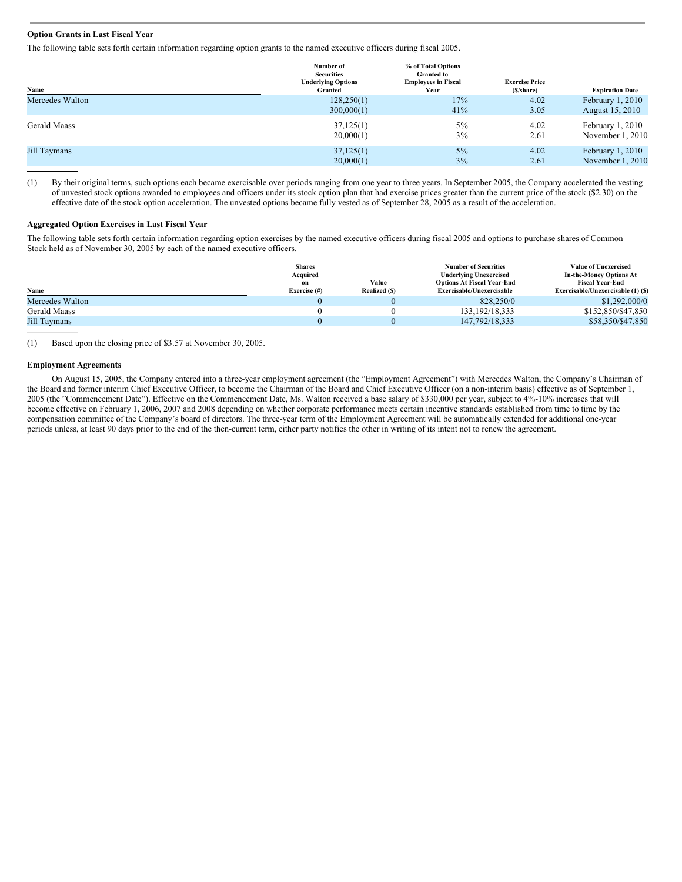# **Option Grants in Last Fiscal Year**

The following table sets forth certain information regarding option grants to the named executive officers during fiscal 2005.

| Name                | Number of<br><b>Securities</b><br><b>Underlying Options</b><br>Granted | % of Total Options<br><b>Granted to</b><br><b>Employees in Fiscal</b><br>Year | <b>Exercise Price</b><br>(\$/share) | <b>Expiration Date</b> |
|---------------------|------------------------------------------------------------------------|-------------------------------------------------------------------------------|-------------------------------------|------------------------|
| Mercedes Walton     | 128,250(1)                                                             | 17%                                                                           | 4.02                                | February 1, 2010       |
|                     | 300,000(1)                                                             | 41%                                                                           | 3.05                                | August 15, 2010        |
| <b>Gerald Maass</b> | 37,125(1)                                                              | $5\%$                                                                         | 4.02                                | February $1, 2010$     |
|                     | 20,000(1)                                                              | 3%                                                                            | 2.61                                | November 1, 2010       |
| Jill Taymans        | 37,125(1)                                                              | $5\%$                                                                         | 4.02                                | February $1, 2010$     |
|                     | 20,000(1)                                                              | 3%                                                                            | 2.61                                | November 1, 2010       |

(1) By their original terms, such options each became exercisable over periods ranging from one year to three years. In September 2005, the Company accelerated the vesting of unvested stock options awarded to employees and officers under its stock option plan that had exercise prices greater than the current price of the stock (\$2.30) on the effective date of the stock option acceleration. The unvested options became fully vested as of September 28, 2005 as a result of the acceleration.

# **Aggregated Option Exercises in Last Fiscal Year**

The following table sets forth certain information regarding option exercises by the named executive officers during fiscal 2005 and options to purchase shares of Common Stock held as of November 30, 2005 by each of the named executive officers.

|                 | <b>Shares</b><br>Acquired<br>on | Value                | <b>Number of Securities</b><br><b>Underlying Unexercised</b><br><b>Options At Fiscal Year-End</b> | <b>Value of Unexercised</b><br><b>In-the-Money Options At</b><br><b>Fiscal Year-End</b> |
|-----------------|---------------------------------|----------------------|---------------------------------------------------------------------------------------------------|-----------------------------------------------------------------------------------------|
| Name            | Exercise (#)                    | <b>Realized (\$)</b> | Exercisable/Unexercisable                                                                         | Exercisable/Unexercisable (1) (\$)                                                      |
| Mercedes Walton |                                 |                      | 828,250/0                                                                                         | \$1,292,000/0                                                                           |
| Gerald Maass    |                                 |                      | 133, 192/18, 333                                                                                  | \$152,850/\$47,850                                                                      |
| Jill Taymans    |                                 |                      | 147, 792/18, 333                                                                                  | \$58,350/\$47,850                                                                       |

(1) Based upon the closing price of \$3.57 at November 30, 2005.

#### **Employment Agreements**

On August 15, 2005, the Company entered into a three-year employment agreement (the "Employment Agreement") with Mercedes Walton, the Company's Chairman of the Board and former interim Chief Executive Officer, to become the Chairman of the Board and Chief Executive Officer (on a non-interim basis) effective as of September 1, 2005 (the "Commencement Date"). Effective on the Commencement Date, Ms. Walton received a base salary of \$330,000 per year, subject to 4%-10% increases that will become effective on February 1, 2006, 2007 and 2008 depending on whether corporate performance meets certain incentive standards established from time to time by the compensation committee of the Company's board of directors. The three-year term of the Employment Agreement will be automatically extended for additional one-year periods unless, at least 90 days prior to the end of the then-current term, either party notifies the other in writing of its intent not to renew the agreement.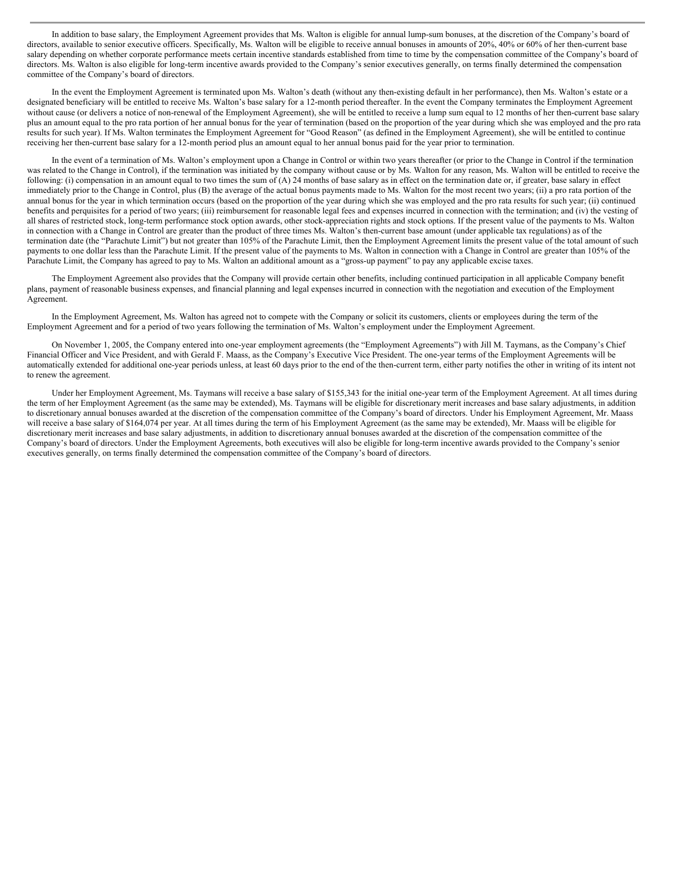In addition to base salary, the Employment Agreement provides that Ms. Walton is eligible for annual lump-sum bonuses, at the discretion of the Company's board of directors, available to senior executive officers. Specifically, Ms. Walton will be eligible to receive annual bonuses in amounts of 20%, 40% or 60% of her then-current base salary depending on whether corporate performance meets certain incentive standards established from time to time by the compensation committee of the Company's board of directors. Ms. Walton is also eligible for long-term incentive awards provided to the Company's senior executives generally, on terms finally determined the compensation committee of the Company's board of directors.

In the event the Employment Agreement is terminated upon Ms. Walton's death (without any then-existing default in her performance), then Ms. Walton's estate or a designated beneficiary will be entitled to receive Ms. Walton's base salary for a 12-month period thereafter. In the event the Company terminates the Employment Agreement without cause (or delivers a notice of non-renewal of the Employment Agreement), she will be entitled to receive a lump sum equal to 12 months of her then-current base salary plus an amount equal to the pro rata portion of her annual bonus for the year of termination (based on the proportion of the year during which she was employed and the pro rata results for such year). If Ms. Walton terminates the Employment Agreement for "Good Reason" (as defined in the Employment Agreement), she will be entitled to continue receiving her then-current base salary for a 12-month period plus an amount equal to her annual bonus paid for the year prior to termination.

In the event of a termination of Ms. Walton's employment upon a Change in Control or within two years thereafter (or prior to the Change in Control if the termination was related to the Change in Control), if the termination was initiated by the company without cause or by Ms. Walton for any reason, Ms. Walton will be entitled to receive the following: (i) compensation in an amount equal to two times the sum of (A) 24 months of base salary as in effect on the termination date or, if greater, base salary in effect immediately prior to the Change in Control, plus (B) the average of the actual bonus payments made to Ms. Walton for the most recent two years; (ii) a pro rata portion of the annual bonus for the year in which termination occurs (based on the proportion of the year during which she was employed and the pro rata results for such year; (ii) continued benefits and perquisites for a period of two years; (iii) reimbursement for reasonable legal fees and expenses incurred in connection with the termination; and (iv) the vesting of all shares of restricted stock, long-term performance stock option awards, other stock-appreciation rights and stock options. If the present value of the payments to Ms. Walton in connection with a Change in Control are greater than the product of three times Ms. Walton's then-current base amount (under applicable tax regulations) as of the termination date (the "Parachute Limit") but not greater than 105% of the Parachute Limit, then the Employment Agreement limits the present value of the total amount of such payments to one dollar less than the Parachute Limit. If the present value of the payments to Ms. Walton in connection with a Change in Control are greater than 105% of the Parachute Limit, the Company has agreed to pay to Ms. Walton an additional amount as a "gross-up payment" to pay any applicable excise taxes.

The Employment Agreement also provides that the Company will provide certain other benefits, including continued participation in all applicable Company benefit plans, payment of reasonable business expenses, and financial planning and legal expenses incurred in connection with the negotiation and execution of the Employment Agreement.

In the Employment Agreement, Ms. Walton has agreed not to compete with the Company or solicit its customers, clients or employees during the term of the Employment Agreement and for a period of two years following the termination of Ms. Walton's employment under the Employment Agreement.

On November 1, 2005, the Company entered into one-year employment agreements (the "Employment Agreements") with Jill M. Taymans, as the Company's Chief Financial Officer and Vice President, and with Gerald F. Maass, as the Company's Executive Vice President. The one-year terms of the Employment Agreements will be automatically extended for additional one-year periods unless, at least 60 days prior to the end of the then-current term, either party notifies the other in writing of its intent not to renew the agreement.

Under her Employment Agreement, Ms. Taymans will receive a base salary of \$155,343 for the initial one-year term of the Employment Agreement. At all times during the term of her Employment Agreement (as the same may be extended), Ms. Taymans will be eligible for discretionary merit increases and base salary adjustments, in addition to discretionary annual bonuses awarded at the discretion of the compensation committee of the Company's board of directors. Under his Employment Agreement, Mr. Maass will receive a base salary of \$164,074 per year. At all times during the term of his Employment Agreement (as the same may be extended), Mr. Maass will be eligible for discretionary merit increases and base salary adjustments, in addition to discretionary annual bonuses awarded at the discretion of the compensation committee of the Company's board of directors. Under the Employment Agreements, both executives will also be eligible for long-term incentive awards provided to the Company's senior executives generally, on terms finally determined the compensation committee of the Company's board of directors.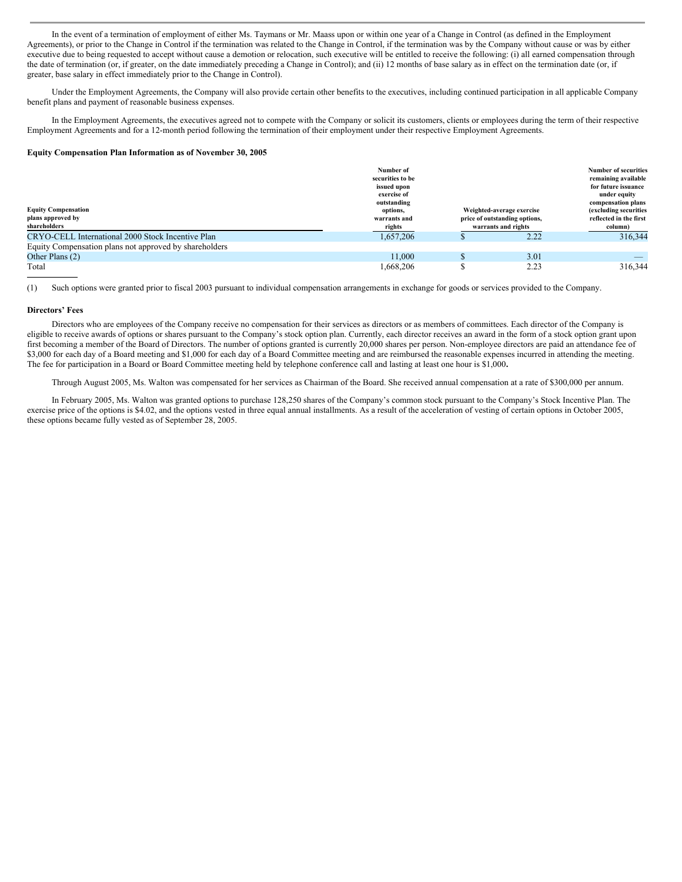In the event of a termination of employment of either Ms. Taymans or Mr. Maass upon or within one year of a Change in Control (as defined in the Employment Agreements), or prior to the Change in Control if the termination was related to the Change in Control, if the termination was by the Company without cause or was by either executive due to being requested to accept without cause a demotion or relocation, such executive will be entitled to receive the following: (i) all earned compensation through the date of termination (or, if greater, on the date immediately preceding a Change in Control); and (ii) 12 months of base salary as in effect on the termination date (or, if greater, base salary in effect immediately prior to the Change in Control).

Under the Employment Agreements, the Company will also provide certain other benefits to the executives, including continued participation in all applicable Company benefit plans and payment of reasonable business expenses.

In the Employment Agreements, the executives agreed not to compete with the Company or solicit its customers, clients or employees during the term of their respective Employment Agreements and for a 12-month period following the termination of their employment under their respective Employment Agreements.

## **Equity Compensation Plan Information as of November 30, 2005**

| <b>Equity Compensation</b><br>plans approved by<br>shareholders | Number of<br>securities to be<br>issued upon<br>exercise of<br>outstanding<br>options,<br>warrants and<br>rights | Weighted-average exercise<br>price of outstanding options,<br>warrants and rights | <b>Number of securities</b><br>remaining available<br>for future issuance<br>under equity<br>compensation plans<br>(excluding securities<br>reflected in the first<br>column) |
|-----------------------------------------------------------------|------------------------------------------------------------------------------------------------------------------|-----------------------------------------------------------------------------------|-------------------------------------------------------------------------------------------------------------------------------------------------------------------------------|
| CRYO-CELL International 2000 Stock Incentive Plan               | 1.657.206                                                                                                        | 2.22                                                                              | 316,344                                                                                                                                                                       |
| Equity Compensation plans not approved by shareholders          |                                                                                                                  |                                                                                   |                                                                                                                                                                               |
| Other Plans (2)                                                 | 11.000                                                                                                           | 3.01                                                                              |                                                                                                                                                                               |
| Total                                                           | 1,668,206                                                                                                        | 2.23                                                                              | 316,344                                                                                                                                                                       |

(1) Such options were granted prior to fiscal 2003 pursuant to individual compensation arrangements in exchange for goods or services provided to the Company.

#### **Directors' Fees**

Directors who are employees of the Company receive no compensation for their services as directors or as members of committees. Each director of the Company is eligible to receive awards of options or shares pursuant to the Company's stock option plan. Currently, each director receives an award in the form of a stock option grant upon first becoming a member of the Board of Directors. The number of options granted is currently 20,000 shares per person. Non-employee directors are paid an attendance fee of \$3,000 for each day of a Board meeting and \$1,000 for each day of a Board Committee meeting and are reimbursed the reasonable expenses incurred in attending the meeting. The fee for participation in a Board or Board Committee meeting held by telephone conference call and lasting at least one hour is \$1,000**.**

Through August 2005, Ms. Walton was compensated for her services as Chairman of the Board. She received annual compensation at a rate of \$300,000 per annum.

In February 2005, Ms. Walton was granted options to purchase 128,250 shares of the Company's common stock pursuant to the Company's Stock Incentive Plan. The exercise price of the options is \$4.02, and the options vested in three equal annual installments. As a result of the acceleration of vesting of certain options in October 2005, these options became fully vested as of September 28, 2005.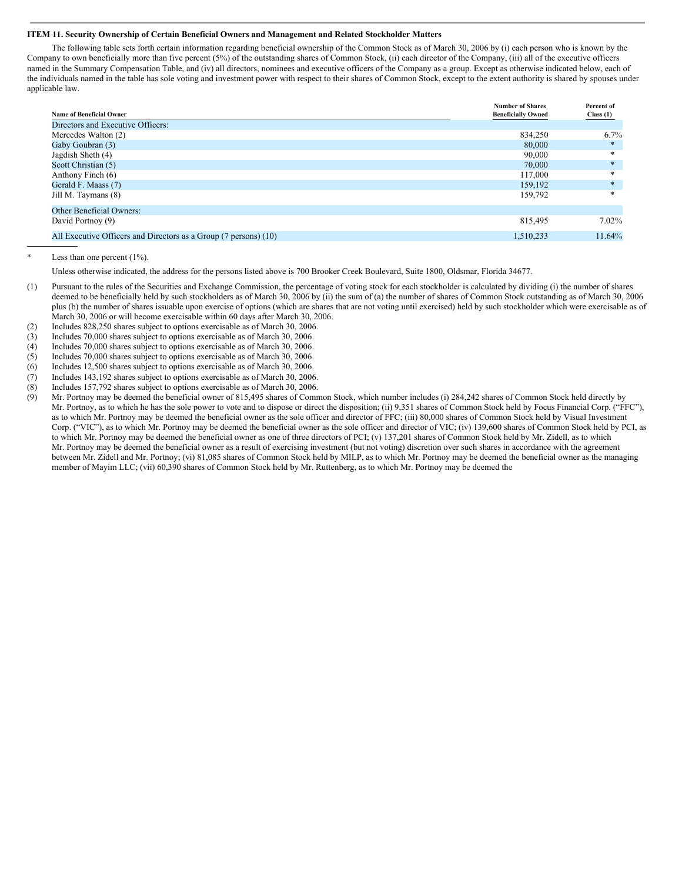# **ITEM 11. Security Ownership of Certain Beneficial Owners and Management and Related Stockholder Matters**

The following table sets forth certain information regarding beneficial ownership of the Common Stock as of March 30, 2006 by (i) each person who is known by the Company to own beneficially more than five percent (5%) of the outstanding shares of Common Stock, (ii) each director of the Company, (iii) all of the executive officers named in the Summary Compensation Table, and (iv) all directors, nominees and executive officers of the Company as a group. Except as otherwise indicated below, each of the individuals named in the table has sole voting and investment power with respect to their shares of Common Stock, except to the extent authority is shared by spouses under applicable law.

|                                                                  | <b>Number of Shares</b>   | Percent of |
|------------------------------------------------------------------|---------------------------|------------|
| <b>Name of Beneficial Owner</b>                                  | <b>Beneficially Owned</b> | Class(1)   |
| Directors and Executive Officers:                                |                           |            |
| Mercedes Walton (2)                                              | 834.250                   | 6.7%       |
| Gaby Goubran (3)                                                 | 80,000                    |            |
| Jagdish Sheth (4)                                                | 90,000                    | *          |
| Scott Christian (5)                                              | 70,000                    | $*$        |
| Anthony Finch (6)                                                | 117,000                   | *          |
| Gerald F. Maass (7)                                              | 159,192                   | $\ast$     |
| Jill M. Taymans (8)                                              | 159,792                   | $\ast$     |
| <b>Other Beneficial Owners:</b>                                  |                           |            |
| David Portnoy (9)                                                | 815,495                   | $7.02\%$   |
| All Executive Officers and Directors as a Group (7 persons) (10) | 1,510,233                 | 11.64%     |

Less than one percent  $(1\%)$ .

Unless otherwise indicated, the address for the persons listed above is 700 Brooker Creek Boulevard, Suite 1800, Oldsmar, Florida 34677.

- (1) Pursuant to the rules of the Securities and Exchange Commission, the percentage of voting stock for each stockholder is calculated by dividing (i) the number of shares deemed to be beneficially held by such stockholders as of March 30, 2006 by (ii) the sum of (a) the number of shares of Common Stock outstanding as of March 30, 2006 plus (b) the number of shares issuable upon exercise of options (which are shares that are not voting until exercised) held by such stockholder which were exercisable as of March 30, 2006 or will become exercisable within 60 days after March 30, 2006.
- (2) Includes 828,250 shares subject to options exercisable as of March 30, 2006.
- (3) Includes 70,000 shares subject to options exercisable as of March 30, 2006.
- (4) Includes 70,000 shares subject to options exercisable as of March 30, 2006.
- (5) Includes 70,000 shares subject to options exercisable as of March 30, 2006.
- (6) Includes 12,500 shares subject to options exercisable as of March 30, 2006.
- (7) Includes 143,192 shares subject to options exercisable as of March 30, 2006.
- (8) Includes 157,792 shares subject to options exercisable as of March 30, 2006.
- (9) Mr. Portnoy may be deemed the beneficial owner of 815,495 shares of Common Stock, which number includes (i) 284,242 shares of Common Stock held directly by Mr. Portnoy, as to which he has the sole power to vote and to dispose or direct the disposition; (ii) 9,351 shares of Common Stock held by Focus Financial Corp. ("FFC"), as to which Mr. Portnoy may be deemed the beneficial owner as the sole officer and director of FFC; (iii) 80,000 shares of Common Stock held by Visual Investment Corp. ("VIC"), as to which Mr. Portnoy may be deemed the beneficial owner as the sole officer and director of VIC; (iv) 139,600 shares of Common Stock held by PCI, as to which Mr. Portnoy may be deemed the beneficial owner as one of three directors of PCI; (v) 137,201 shares of Common Stock held by Mr. Zidell, as to which Mr. Portnoy may be deemed the beneficial owner as a result of exercising investment (but not voting) discretion over such shares in accordance with the agreement between Mr. Zidell and Mr. Portnoy; (vi) 81,085 shares of Common Stock held by MILP, as to which Mr. Portnoy may be deemed the beneficial owner as the managing member of Mayim LLC; (vii) 60,390 shares of Common Stock held by Mr. Ruttenberg, as to which Mr. Portnoy may be deemed the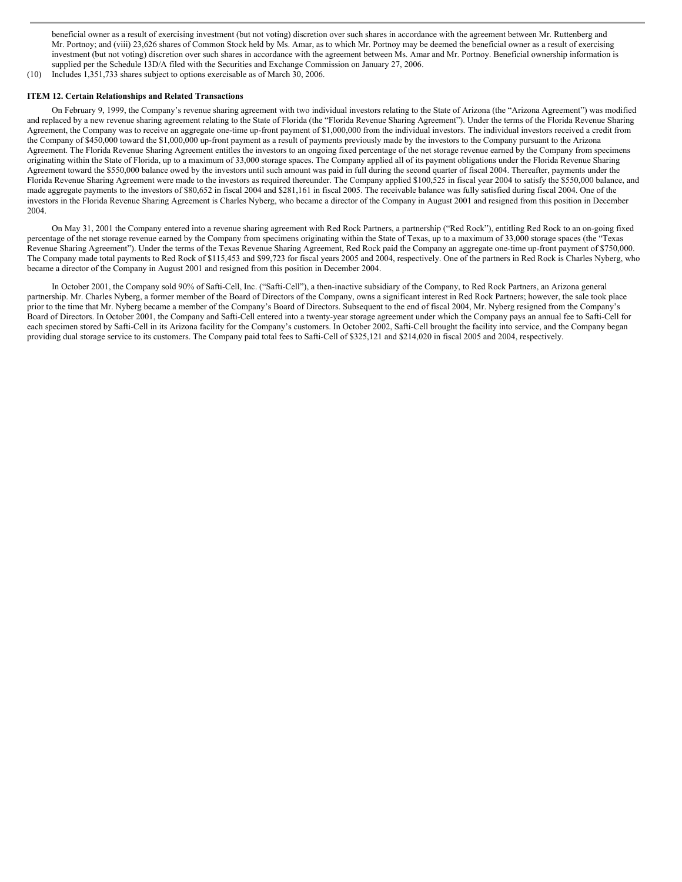beneficial owner as a result of exercising investment (but not voting) discretion over such shares in accordance with the agreement between Mr. Ruttenberg and Mr. Portnoy; and (viii) 23,626 shares of Common Stock held by Ms. Amar, as to which Mr. Portnoy may be deemed the beneficial owner as a result of exercising investment (but not voting) discretion over such shares in accordance with the agreement between Ms. Amar and Mr. Portnoy. Beneficial ownership information is supplied per the Schedule 13D/A filed with the Securities and Exchange Commission on January 27, 2006.

(10) Includes 1,351,733 shares subject to options exercisable as of March 30, 2006.

# **ITEM 12. Certain Relationships and Related Transactions**

On February 9, 1999, the Company's revenue sharing agreement with two individual investors relating to the State of Arizona (the "Arizona Agreement") was modified and replaced by a new revenue sharing agreement relating to the State of Florida (the "Florida Revenue Sharing Agreement"). Under the terms of the Florida Revenue Sharing Agreement, the Company was to receive an aggregate one-time up-front payment of \$1,000,000 from the individual investors. The individual investors received a credit from the Company of \$450,000 toward the \$1,000,000 up-front payment as a result of payments previously made by the investors to the Company pursuant to the Arizona Agreement. The Florida Revenue Sharing Agreement entitles the investors to an ongoing fixed percentage of the net storage revenue earned by the Company from specimens originating within the State of Florida, up to a maximum of 33,000 storage spaces. The Company applied all of its payment obligations under the Florida Revenue Sharing Agreement toward the \$550,000 balance owed by the investors until such amount was paid in full during the second quarter of fiscal 2004. Thereafter, payments under the Florida Revenue Sharing Agreement were made to the investors as required thereunder. The Company applied \$100,525 in fiscal year 2004 to satisfy the \$550,000 balance, and made aggregate payments to the investors of \$80,652 in fiscal 2004 and \$281,161 in fiscal 2005. The receivable balance was fully satisfied during fiscal 2004. One of the investors in the Florida Revenue Sharing Agreement is Charles Nyberg, who became a director of the Company in August 2001 and resigned from this position in December 2004.

On May 31, 2001 the Company entered into a revenue sharing agreement with Red Rock Partners, a partnership ("Red Rock"), entitling Red Rock to an on-going fixed percentage of the net storage revenue earned by the Company from specimens originating within the State of Texas, up to a maximum of 33,000 storage spaces (the "Texas Revenue Sharing Agreement"). Under the terms of the Texas Revenue Sharing Agreement, Red Rock paid the Company an aggregate one-time up-front payment of \$750,000. The Company made total payments to Red Rock of \$115,453 and \$99,723 for fiscal years 2005 and 2004, respectively. One of the partners in Red Rock is Charles Nyberg, who became a director of the Company in August 2001 and resigned from this position in December 2004.

In October 2001, the Company sold 90% of Safti-Cell, Inc. ("Safti-Cell"), a then-inactive subsidiary of the Company, to Red Rock Partners, an Arizona general partnership. Mr. Charles Nyberg, a former member of the Board of Directors of the Company, owns a significant interest in Red Rock Partners; however, the sale took place prior to the time that Mr. Nyberg became a member of the Company's Board of Directors. Subsequent to the end of fiscal 2004, Mr. Nyberg resigned from the Company's Board of Directors. In October 2001, the Company and Safti-Cell entered into a twenty-year storage agreement under which the Company pays an annual fee to Safti-Cell for each specimen stored by Safti-Cell in its Arizona facility for the Company's customers. In October 2002, Safti-Cell brought the facility into service, and the Company began providing dual storage service to its customers. The Company paid total fees to Safti-Cell of \$325,121 and \$214,020 in fiscal 2005 and 2004, respectively.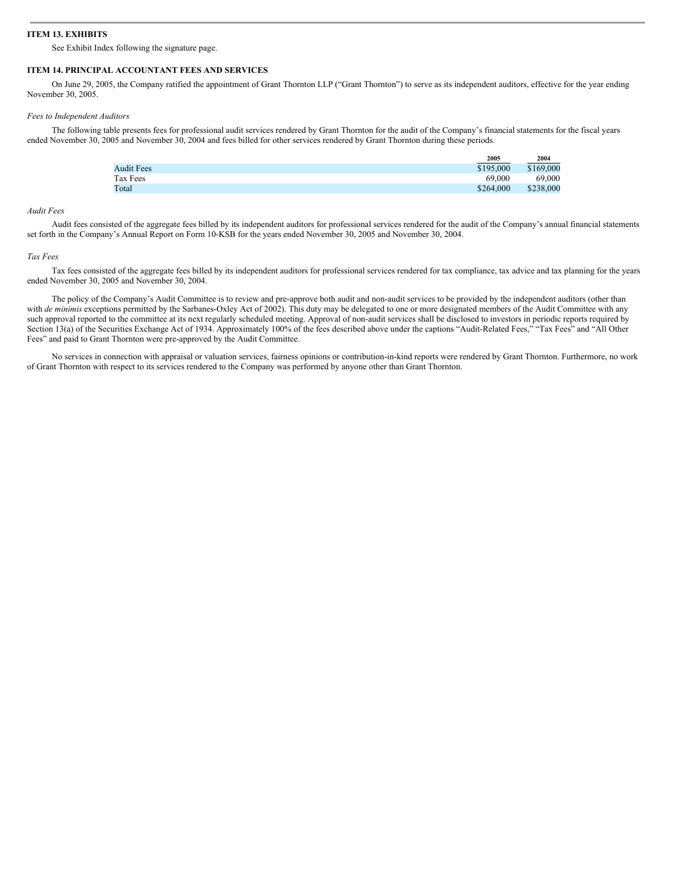# **ITEM 13. EXHIBITS**

See Exhibit Index following the signature page.

#### **ITEM 14. PRINCIPAL ACCOUNTANT FEES AND SERVICES**

On June 29, 2005, the Company ratified the appointment of Grant Thornton LLP ("Grant Thornton") to serve as its independent auditors, effective for the year ending November 30, 2005.

#### *Fees to Independent Auditors*

The following table presents fees for professional audit services rendered by Grant Thornton for the audit of the Company's financial statements for the fiscal years ended November 30, 2005 and November 30, 2004 and fees billed for other services rendered by Grant Thornton during these periods.

|                   | 2005      | 2004      |
|-------------------|-----------|-----------|
| <b>Audit Fees</b> | \$195,000 | \$169,000 |
| Tax Fees          | 69,000    | 69,000    |
| Total             | \$264,000 | \$238,000 |

#### *Audit Fees*

Audit fees consisted of the aggregate fees billed by its independent auditors for professional services rendered for the audit of the Company's annual financial statements set forth in the Company's Annual Report on Form 10-KSB for the years ended November 30, 2005 and November 30, 2004.

#### *Tax Fees*

Tax fees consisted of the aggregate fees billed by its independent auditors for professional services rendered for tax compliance, tax advice and tax planning for the years ended November 30, 2005 and November 30, 2004.

The policy of the Company's Audit Committee is to review and pre-approve both audit and non-audit services to be provided by the independent auditors (other than with *de minimis* exceptions permitted by the Sarbanes-Oxley Act of 2002). This duty may be delegated to one or more designated members of the Audit Committee with any such approval reported to the committee at its next regularly scheduled meeting. Approval of non-audit services shall be disclosed to investors in periodic reports required by Section 13(a) of the Securities Exchange Act of 1934. Approximately 100% of the fees described above under the captions "Audit-Related Fees," "Tax Fees" and "All Other Fees" and paid to Grant Thornton were pre-approved by the Audit Committee.

No services in connection with appraisal or valuation services, fairness opinions or contribution-in-kind reports were rendered by Grant Thornton. Furthermore, no work of Grant Thornton with respect to its services rendered to the Company was performed by anyone other than Grant Thornton.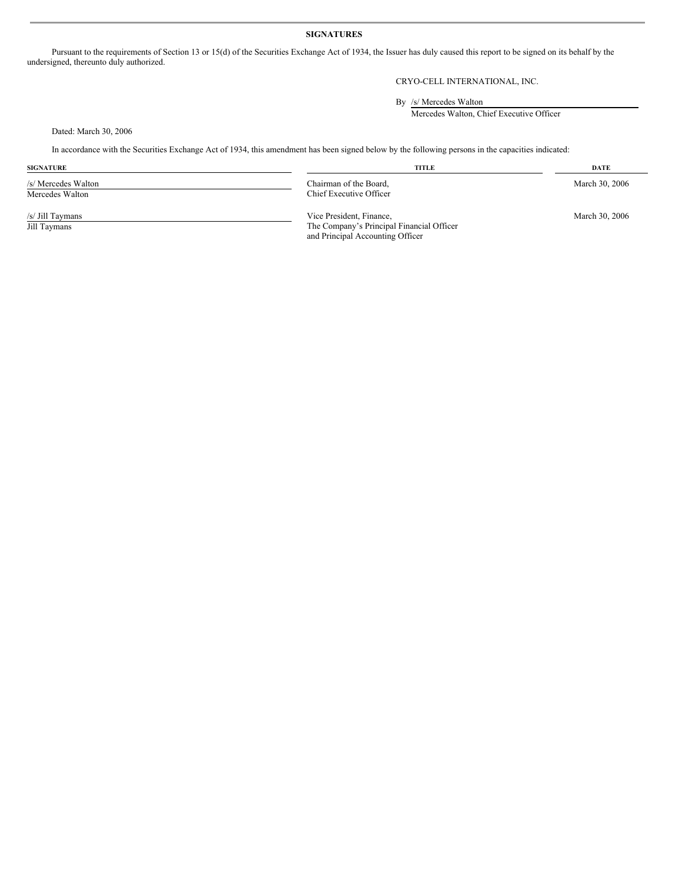# **SIGNATURES**

Pursuant to the requirements of Section 13 or 15(d) of the Securities Exchange Act of 1934, the Issuer has duly caused this report to be signed on its behalf by the undersigned, thereunto duly authorized.

# CRYO-CELL INTERNATIONAL, INC.

By /s/ Mercedes Walton

Mercedes Walton, Chief Executive Officer

Dated: March 30, 2006

In accordance with the Securities Exchange Act of 1934, this amendment has been signed below by the following persons in the capacities indicated:

| <b>SIGNATURE</b>                       | <b>TITLE</b>                                                                                              | <b>DATE</b>    |
|----------------------------------------|-----------------------------------------------------------------------------------------------------------|----------------|
| /s/ Mercedes Walton<br>Mercedes Walton | Chairman of the Board,<br>Chief Executive Officer                                                         | March 30, 2006 |
| /s/ Jill Taymans<br>Jill Taymans       | Vice President, Finance,<br>The Company's Principal Financial Officer<br>and Principal Accounting Officer | March 30, 2006 |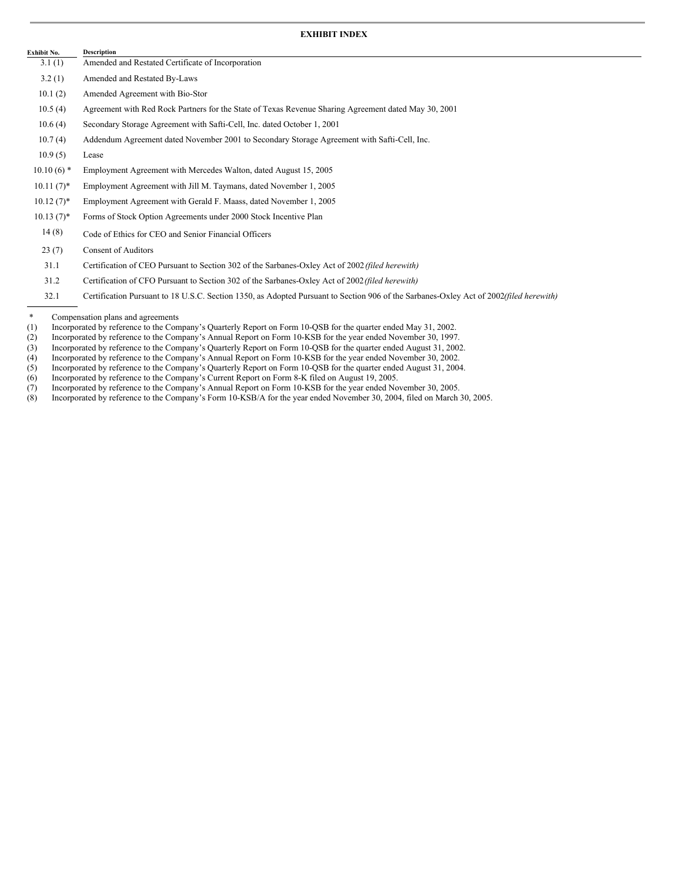# **EXHIBIT INDEX**

| Exhibit No.  | <b>Description</b>                                                                                                                     |
|--------------|----------------------------------------------------------------------------------------------------------------------------------------|
| 3.1(1)       | Amended and Restated Certificate of Incorporation                                                                                      |
| 3.2(1)       | Amended and Restated By-Laws                                                                                                           |
| 10.1(2)      | Amended Agreement with Bio-Stor                                                                                                        |
| 10.5(4)      | Agreement with Red Rock Partners for the State of Texas Revenue Sharing Agreement dated May 30, 2001                                   |
| 10.6(4)      | Secondary Storage Agreement with Safti-Cell, Inc. dated October 1, 2001                                                                |
| 10.7(4)      | Addendum Agreement dated November 2001 to Secondary Storage Agreement with Safti-Cell, Inc.                                            |
| 10.9(5)      | Lease                                                                                                                                  |
| $10.10(6)$ * | Employment Agreement with Mercedes Walton, dated August 15, 2005                                                                       |
| $10.11(7)^*$ | Employment Agreement with Jill M. Taymans, dated November 1, 2005                                                                      |
| $10.12(7)^*$ | Employment Agreement with Gerald F. Maass, dated November 1, 2005                                                                      |
| $10.13(7)^*$ | Forms of Stock Option Agreements under 2000 Stock Incentive Plan                                                                       |
| 14(8)        | Code of Ethics for CEO and Senior Financial Officers                                                                                   |
| 23(7)        | <b>Consent of Auditors</b>                                                                                                             |
| 31.1         | Certification of CEO Pursuant to Section 302 of the Sarbanes-Oxley Act of 2002 (filed herewith)                                        |
| 31.2         | Certification of CFO Pursuant to Section 302 of the Sarbanes-Oxley Act of 2002 (filed herewith)                                        |
| 32.1         | Certification Pursuant to 18 U.S.C. Section 1350, as Adopted Pursuant to Section 906 of the Sarbanes-Oxley Act of 2002(filed herewith) |

<sup>\*</sup> Compensation plans and agreements<br>(1) Incorporated by reference to the Com

- (4) Incorporated by reference to the Company's Annual Report on Form 10-KSB for the year ended November 30, 2002.
- (5) Incorporated by reference to the Company's Quarterly Report on Form 10-QSB for the quarter ended August 31, 2004.
- (6) Incorporated by reference to the Company's Current Report on Form 8-K filed on August 19, 2005.
- (7) Incorporated by reference to the Company's Annual Report on Form 10-KSB for the year ended November 30, 2005.
- (8) Incorporated by reference to the Company's Form 10-KSB/A for the year ended November 30, 2004, filed on March 30, 2005.

Incorporated by reference to the Company's Annual Report on Form 10-KSB for the year ended November 30, 1997.

<sup>(1)</sup> Incorporated by reference to the Company's Quarterly Report on Form 10-QSB for the quarter ended May 31, 2002.<br>(2) Incorporated by reference to the Company's Annual Report on Form 10-QSB for the year ended November 30, (3) Incorporated by reference to the Company's Quarterly Report on Form 10-QSB for the quarter ended August 31, 2002.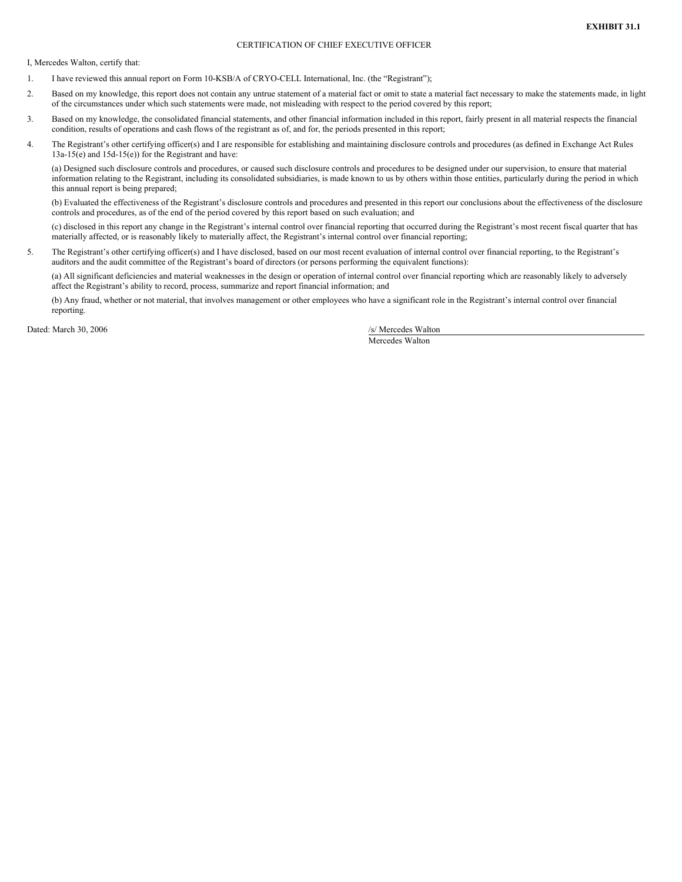# CERTIFICATION OF CHIEF EXECUTIVE OFFICER

I, Mercedes Walton, certify that:

- 1. I have reviewed this annual report on Form 10-KSB/A of CRYO-CELL International, Inc. (the "Registrant");
- 2. Based on my knowledge, this report does not contain any untrue statement of a material fact or omit to state a material fact necessary to make the statements made, in light of the circumstances under which such statements were made, not misleading with respect to the period covered by this report;
- 3. Based on my knowledge, the consolidated financial statements, and other financial information included in this report, fairly present in all material respects the financial condition, results of operations and cash flows of the registrant as of, and for, the periods presented in this report;
- 4. The Registrant's other certifying officer(s) and I are responsible for establishing and maintaining disclosure controls and procedures (as defined in Exchange Act Rules 13a-15(e) and 15d-15(e)) for the Registrant and have:

(a) Designed such disclosure controls and procedures, or caused such disclosure controls and procedures to be designed under our supervision, to ensure that material information relating to the Registrant, including its consolidated subsidiaries, is made known to us by others within those entities, particularly during the period in which this annual report is being prepared;

(b) Evaluated the effectiveness of the Registrant's disclosure controls and procedures and presented in this report our conclusions about the effectiveness of the disclosure controls and procedures, as of the end of the period covered by this report based on such evaluation; and

(c) disclosed in this report any change in the Registrant's internal control over financial reporting that occurred during the Registrant's most recent fiscal quarter that has materially affected, or is reasonably likely to materially affect, the Registrant's internal control over financial reporting;

5. The Registrant's other certifying officer(s) and I have disclosed, based on our most recent evaluation of internal control over financial reporting, to the Registrant's auditors and the audit committee of the Registrant's board of directors (or persons performing the equivalent functions):

(a) All significant deficiencies and material weaknesses in the design or operation of internal control over financial reporting which are reasonably likely to adversely affect the Registrant's ability to record, process, summarize and report financial information; and

(b) Any fraud, whether or not material, that involves management or other employees who have a significant role in the Registrant's internal control over financial reporting.

Dated: March 30, 2006 /s/ Mercedes Walton

Mercedes Walton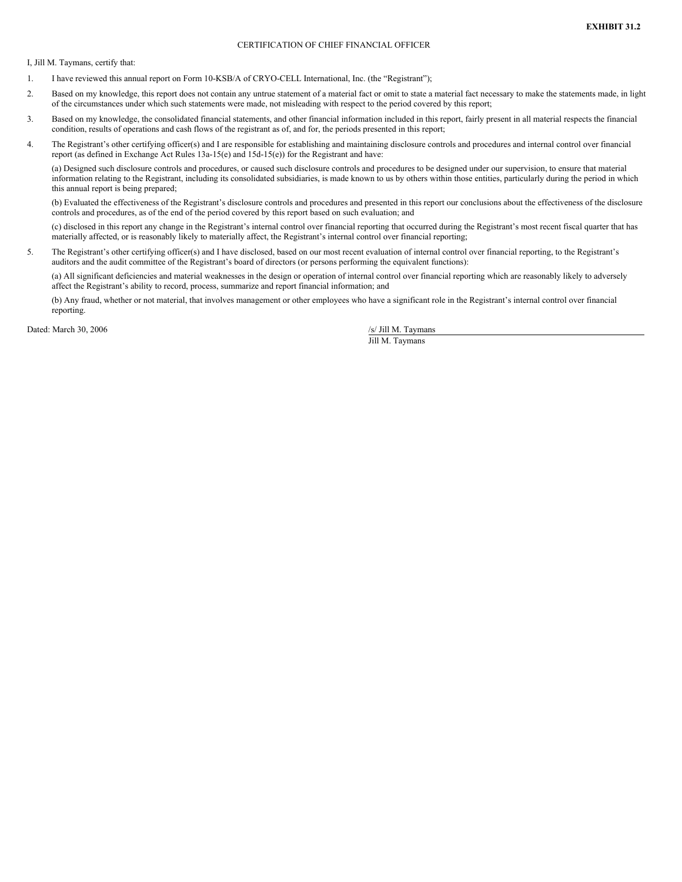# CERTIFICATION OF CHIEF FINANCIAL OFFICER

I, Jill M. Taymans, certify that:

- 1. I have reviewed this annual report on Form 10-KSB/A of CRYO-CELL International, Inc. (the "Registrant");
- 2. Based on my knowledge, this report does not contain any untrue statement of a material fact or omit to state a material fact necessary to make the statements made, in light of the circumstances under which such statements were made, not misleading with respect to the period covered by this report;
- 3. Based on my knowledge, the consolidated financial statements, and other financial information included in this report, fairly present in all material respects the financial condition, results of operations and cash flows of the registrant as of, and for, the periods presented in this report;
- 4. The Registrant's other certifying officer(s) and I are responsible for establishing and maintaining disclosure controls and procedures and internal control over financial report (as defined in Exchange Act Rules 13a-15(e) and 15d-15(e)) for the Registrant and have:

(a) Designed such disclosure controls and procedures, or caused such disclosure controls and procedures to be designed under our supervision, to ensure that material information relating to the Registrant, including its consolidated subsidiaries, is made known to us by others within those entities, particularly during the period in which this annual report is being prepared;

(b) Evaluated the effectiveness of the Registrant's disclosure controls and procedures and presented in this report our conclusions about the effectiveness of the disclosure controls and procedures, as of the end of the period covered by this report based on such evaluation; and

(c) disclosed in this report any change in the Registrant's internal control over financial reporting that occurred during the Registrant's most recent fiscal quarter that has materially affected, or is reasonably likely to materially affect, the Registrant's internal control over financial reporting;

5. The Registrant's other certifying officer(s) and I have disclosed, based on our most recent evaluation of internal control over financial reporting, to the Registrant's auditors and the audit committee of the Registrant's board of directors (or persons performing the equivalent functions):

(a) All significant deficiencies and material weaknesses in the design or operation of internal control over financial reporting which are reasonably likely to adversely affect the Registrant's ability to record, process, summarize and report financial information; and

(b) Any fraud, whether or not material, that involves management or other employees who have a significant role in the Registrant's internal control over financial reporting.

Dated: March 30, 2006 /s/ Jill M. Taymans

Jill M. Taymans